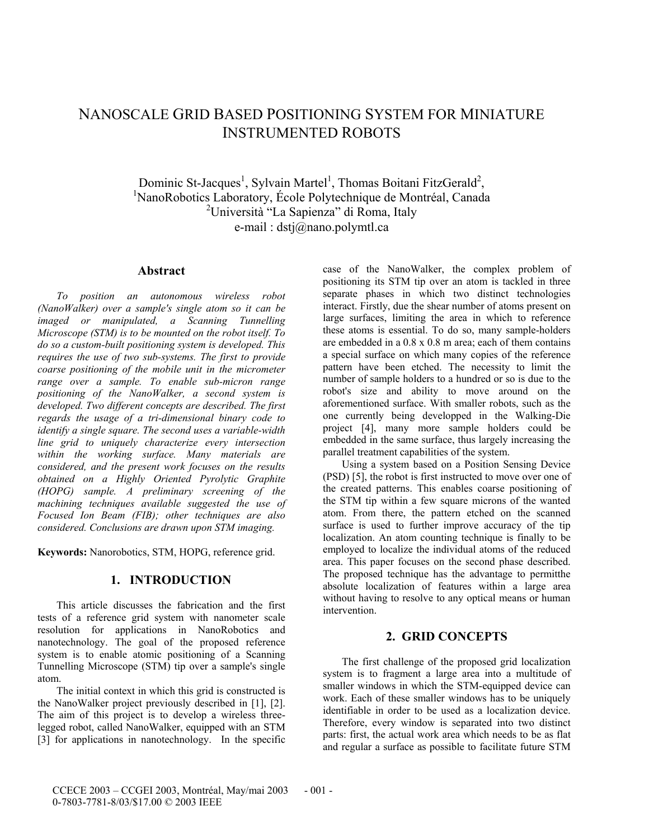# NANOSCALE GRID BASED POSITIONING SYSTEM FOR MINIATURE INSTRUMENTED ROBOTS

Dominic St-Jacques<sup>1</sup>, Sylvain Martel<sup>1</sup>, Thomas Boitani FitzGerald<sup>2</sup>, <sup>1</sup>Nanc<sup>p</sup>obaties Leberatory, École Polytechnique de Montréel, Canada NanoRobotics Laboratory, École Polytechnique de Montréal, Canada <sup>2</sup>Università "La Sapienza" di Roma, Italy e-mail : dstj@nano.polymtl.ca

### **Abstract**

*To position an autonomous wireless robot (NanoWalker) over a sample's single atom so it can be imaged or manipulated, a Scanning Tunnelling Microscope (STM) is to be mounted on the robot itself. To do so a custom-built positioning system is developed. This requires the use of two sub-systems. The first to provide coarse positioning of the mobile unit in the micrometer range over a sample. To enable sub-micron range positioning of the NanoWalker, a second system is developed. Two different concepts are described. The first regards the usage of a tri-dimensional binary code to identify a single square. The second uses a variable-width line grid to uniquely characterize every intersection within the working surface. Many materials are considered, and the present work focuses on the results obtained on a Highly Oriented Pyrolytic Graphite (HOPG) sample. A preliminary screening of the machining techniques available suggested the use of Focused Ion Beam (FIB); other techniques are also considered. Conclusions are drawn upon STM imaging.* 

**Keywords:** Nanorobotics, STM, HOPG, reference grid.

### **1. INTRODUCTION**

This article discusses the fabrication and the first tests of a reference grid system with nanometer scale resolution for applications in NanoRobotics and nanotechnology. The goal of the proposed reference system is to enable atomic positioning of a Scanning Tunnelling Microscope (STM) tip over a sample's single atom.

The initial context in which this grid is constructed is the NanoWalker project previously described in [1], [2]. The aim of this project is to develop a wireless threelegged robot, called NanoWalker, equipped with an STM [3] for applications in nanotechnology. In the specific case of the NanoWalker, the complex problem of positioning its STM tip over an atom is tackled in three separate phases in which two distinct technologies interact. Firstly, due the shear number of atoms present on large surfaces, limiting the area in which to reference these atoms is essential. To do so, many sample-holders are embedded in a 0.8 x 0.8 m area; each of them contains a special surface on which many copies of the reference pattern have been etched. The necessity to limit the number of sample holders to a hundred or so is due to the robot's size and ability to move around on the aforementioned surface. With smaller robots, such as the one currently being developped in the Walking-Die project [4], many more sample holders could be embedded in the same surface, thus largely increasing the parallel treatment capabilities of the system.

Using a system based on a Position Sensing Device (PSD) [5], the robot is first instructed to move over one of the created patterns. This enables coarse positioning of the STM tip within a few square microns of the wanted atom. From there, the pattern etched on the scanned surface is used to further improve accuracy of the tip localization. An atom counting technique is finally to be employed to localize the individual atoms of the reduced area. This paper focuses on the second phase described. The proposed technique has the advantage to permitthe absolute localization of features within a large area without having to resolve to any optical means or human intervention.

## **2. GRID CONCEPTS**

The first challenge of the proposed grid localization system is to fragment a large area into a multitude of smaller windows in which the STM-equipped device can work. Each of these smaller windows has to be uniquely identifiable in order to be used as a localization device. Therefore, every window is separated into two distinct parts: first, the actual work area which needs to be as flat and regular a surface as possible to facilitate future STM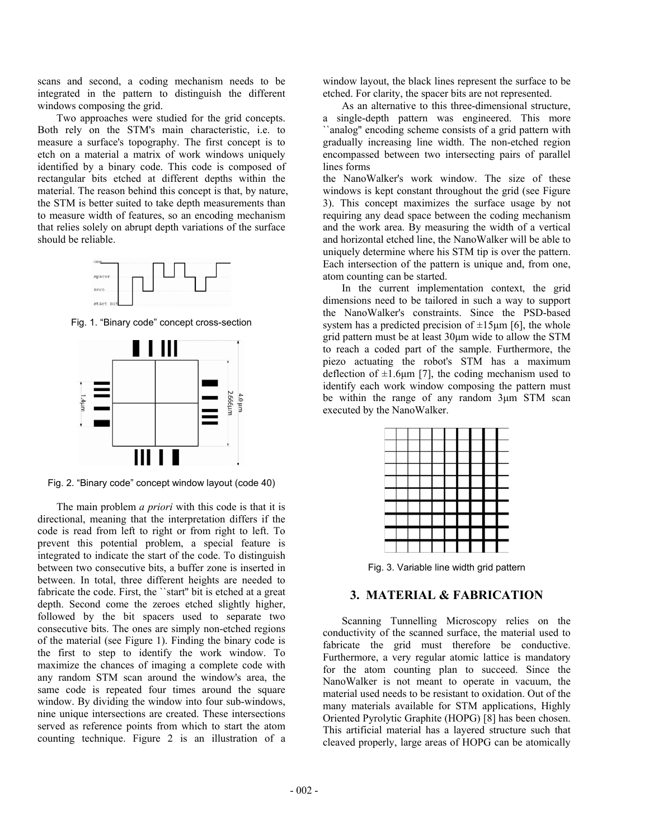scans and second, a coding mechanism needs to be integrated in the pattern to distinguish the different windows composing the grid.

Two approaches were studied for the grid concepts. Both rely on the STM's main characteristic, i.e. to measure a surface's topography. The first concept is to etch on a material a matrix of work windows uniquely identified by a binary code. This code is composed of rectangular bits etched at different depths within the material. The reason behind this concept is that, by nature, the STM is better suited to take depth measurements than to measure width of features, so an encoding mechanism that relies solely on abrupt depth variations of the surface should be reliable.



Fig. 1. "Binary code" concept cross-section



Fig. 2. "Binary code" concept window layout (code 40)

The main problem *a priori* with this code is that it is directional, meaning that the interpretation differs if the code is read from left to right or from right to left. To prevent this potential problem, a special feature is integrated to indicate the start of the code. To distinguish between two consecutive bits, a buffer zone is inserted in between. In total, three different heights are needed to fabricate the code. First, the ``start'' bit is etched at a great depth. Second come the zeroes etched slightly higher, followed by the bit spacers used to separate two consecutive bits. The ones are simply non-etched regions of the material (see Figure 1). Finding the binary code is the first to step to identify the work window. To maximize the chances of imaging a complete code with any random STM scan around the window's area, the same code is repeated four times around the square window. By dividing the window into four sub-windows, nine unique intersections are created. These intersections served as reference points from which to start the atom counting technique. Figure 2 is an illustration of a

window layout, the black lines represent the surface to be etched. For clarity, the spacer bits are not represented.

As an alternative to this three-dimensional structure, a single-depth pattern was engineered. This more ``analog'' encoding scheme consists of a grid pattern with gradually increasing line width. The non-etched region encompassed between two intersecting pairs of parallel lines forms

the NanoWalker's work window. The size of these windows is kept constant throughout the grid (see Figure 3). This concept maximizes the surface usage by not requiring any dead space between the coding mechanism and the work area. By measuring the width of a vertical and horizontal etched line, the NanoWalker will be able to uniquely determine where his STM tip is over the pattern. Each intersection of the pattern is unique and, from one, atom counting can be started.

In the current implementation context, the grid dimensions need to be tailored in such a way to support the NanoWalker's constraints. Since the PSD-based system has a predicted precision of  $\pm 15\mu m$  [6], the whole grid pattern must be at least 30µm wide to allow the STM to reach a coded part of the sample. Furthermore, the piezo actuating the robot's STM has a maximum deflection of  $\pm 1.6\mu$ m [7], the coding mechanism used to identify each work window composing the pattern must be within the range of any random 3µm STM scan executed by the NanoWalker.

Fig. 3. Variable line width grid pattern

# **3. MATERIAL & FABRICATION**

Scanning Tunnelling Microscopy relies on the conductivity of the scanned surface, the material used to fabricate the grid must therefore be conductive. Furthermore, a very regular atomic lattice is mandatory for the atom counting plan to succeed. Since the NanoWalker is not meant to operate in vacuum, the material used needs to be resistant to oxidation. Out of the many materials available for STM applications, Highly Oriented Pyrolytic Graphite (HOPG) [8] has been chosen. This artificial material has a layered structure such that cleaved properly, large areas of HOPG can be atomically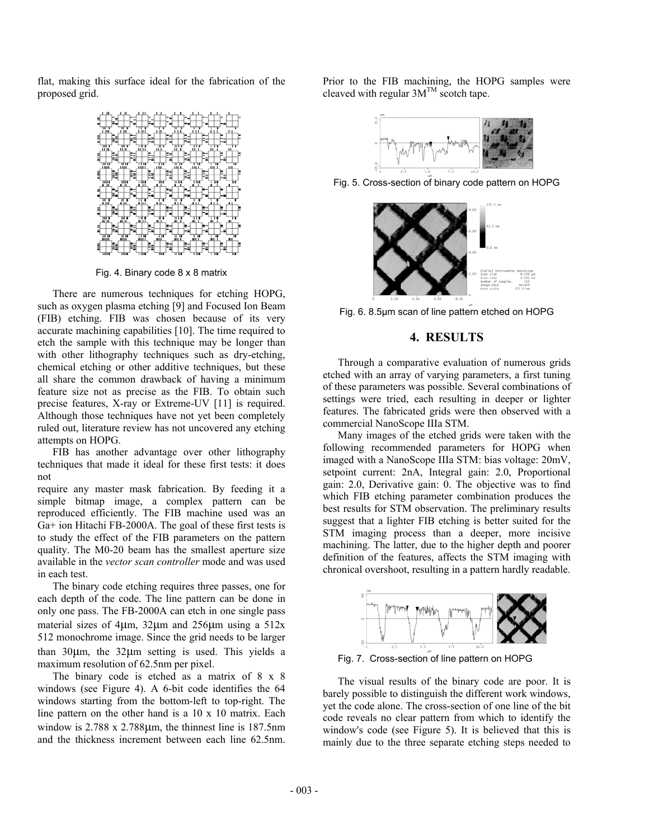flat, making this surface ideal for the fabrication of the proposed grid.



Fig. 4. Binary code 8 x 8 matrix

There are numerous techniques for etching HOPG, such as oxygen plasma etching [9] and Focused Ion Beam (FIB) etching. FIB was chosen because of its very accurate machining capabilities [10]. The time required to etch the sample with this technique may be longer than with other lithography techniques such as dry-etching, chemical etching or other additive techniques, but these all share the common drawback of having a minimum feature size not as precise as the FIB. To obtain such precise features, X-ray or Extreme-UV [11] is required. Although those techniques have not yet been completely ruled out, literature review has not uncovered any etching attempts on HOPG.

FIB has another advantage over other lithography techniques that made it ideal for these first tests: it does not

require any master mask fabrication. By feeding it a simple bitmap image, a complex pattern can be reproduced efficiently. The FIB machine used was an Ga+ ion Hitachi FB-2000A. The goal of these first tests is to study the effect of the FIB parameters on the pattern quality. The M0-20 beam has the smallest aperture size available in the *vector scan controller* mode and was used in each test.

The binary code etching requires three passes, one for each depth of the code. The line pattern can be done in only one pass. The FB-2000A can etch in one single pass material sizes of 4 $\mu$ m, 32 $\mu$ m and 256 $\mu$ m using a 512x 512 monochrome image. Since the grid needs to be larger than 30µm, the 32µm setting is used. This yields a maximum resolution of 62.5nm per pixel.

The binary code is etched as a matrix of 8 x 8 windows (see Figure 4). A 6-bit code identifies the 64 windows starting from the bottom-left to top-right. The line pattern on the other hand is a 10 x 10 matrix. Each window is 2.788 x 2.788 $\mu$ m, the thinnest line is 187.5nm and the thickness increment between each line 62.5nm.

Prior to the FIB machining, the HOPG samples were cleaved with regular  $3M^{TM}$  scotch tape.



Fig. 5. Cross-section of binary code pattern on HOPG



Fig. 6. 8.5µm scan of line pattern etched on HOPG

### **4. RESULTS**

Through a comparative evaluation of numerous grids etched with an array of varying parameters, a first tuning of these parameters was possible. Several combinations of settings were tried, each resulting in deeper or lighter features. The fabricated grids were then observed with a commercial NanoScope IIIa STM.

Many images of the etched grids were taken with the following recommended parameters for HOPG when imaged with a NanoScope IIIa STM: bias voltage: 20mV, setpoint current: 2nA, Integral gain: 2.0, Proportional gain: 2.0, Derivative gain: 0. The objective was to find which FIB etching parameter combination produces the best results for STM observation. The preliminary results suggest that a lighter FIB etching is better suited for the STM imaging process than a deeper, more incisive machining. The latter, due to the higher depth and poorer definition of the features, affects the STM imaging with chronical overshoot, resulting in a pattern hardly readable.



Fig. 7. Cross-section of line pattern on HOPG

The visual results of the binary code are poor. It is barely possible to distinguish the different work windows, yet the code alone. The cross-section of one line of the bit code reveals no clear pattern from which to identify the window's code (see Figure 5). It is believed that this is mainly due to the three separate etching steps needed to